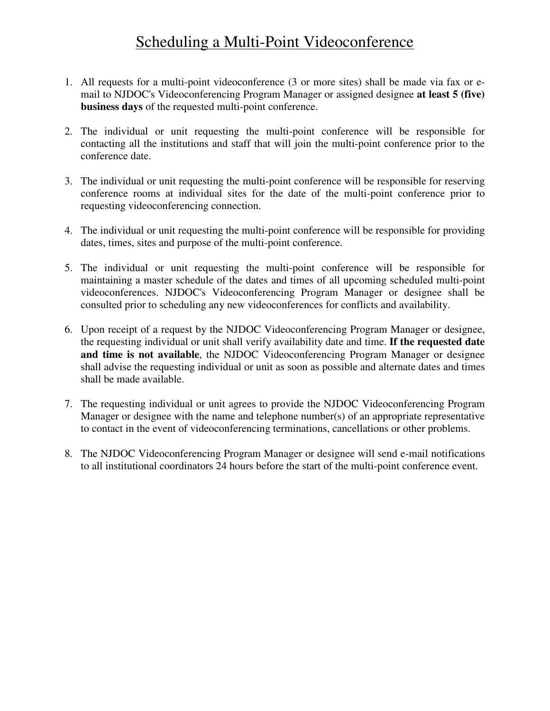## Scheduling a Multi-Point Videoconference

- 1. All requests for a multi-point videoconference (3 or more sites) shall be made via fax or email to NJDOC's Videoconferencing Program Manager or assigned designee **at least 5 (five) business days** of the requested multi-point conference.
- 2. The individual or unit requesting the multi-point conference will be responsible for contacting all the institutions and staff that will join the multi-point conference prior to the conference date.
- 3. The individual or unit requesting the multi-point conference will be responsible for reserving conference rooms at individual sites for the date of the multi-point conference prior to requesting videoconferencing connection.
- 4. The individual or unit requesting the multi-point conference will be responsible for providing dates, times, sites and purpose of the multi-point conference.
- 5. The individual or unit requesting the multi-point conference will be responsible for maintaining a master schedule of the dates and times of all upcoming scheduled multi-point videoconferences. NJDOC's Videoconferencing Program Manager or designee shall be consulted prior to scheduling any new videoconferences for conflicts and availability.
- 6. Upon receipt of a request by the NJDOC Videoconferencing Program Manager or designee, the requesting individual or unit shall verify availability date and time. **If the requested date and time is not available**, the NJDOC Videoconferencing Program Manager or designee shall advise the requesting individual or unit as soon as possible and alternate dates and times shall be made available.
- 7. The requesting individual or unit agrees to provide the NJDOC Videoconferencing Program Manager or designee with the name and telephone number(s) of an appropriate representative to contact in the event of videoconferencing terminations, cancellations or other problems.
- 8. The NJDOC Videoconferencing Program Manager or designee will send e-mail notifications to all institutional coordinators 24 hours before the start of the multi-point conference event.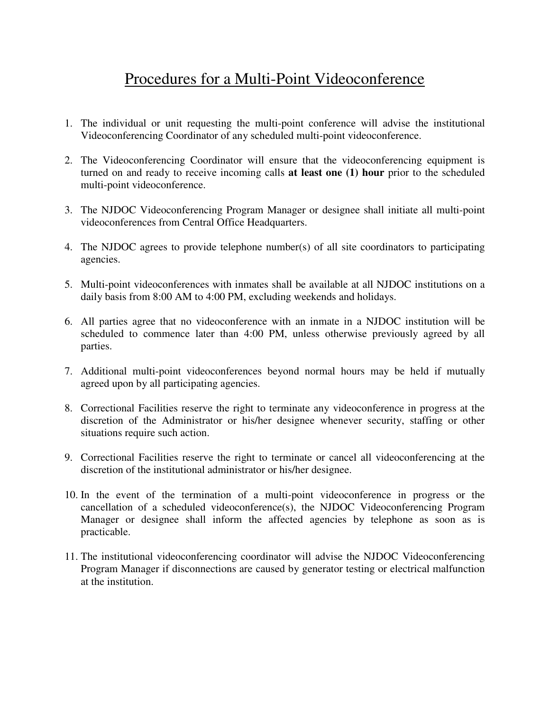## Procedures for a Multi-Point Videoconference

- 1. The individual or unit requesting the multi-point conference will advise the institutional Videoconferencing Coordinator of any scheduled multi-point videoconference.
- 2. The Videoconferencing Coordinator will ensure that the videoconferencing equipment is turned on and ready to receive incoming calls **at least one (1) hour** prior to the scheduled multi-point videoconference.
- 3. The NJDOC Videoconferencing Program Manager or designee shall initiate all multi-point videoconferences from Central Office Headquarters.
- 4. The NJDOC agrees to provide telephone number(s) of all site coordinators to participating agencies.
- 5. Multi-point videoconferences with inmates shall be available at all NJDOC institutions on a daily basis from 8:00 AM to 4:00 PM, excluding weekends and holidays.
- 6. All parties agree that no videoconference with an inmate in a NJDOC institution will be scheduled to commence later than 4:00 PM, unless otherwise previously agreed by all parties.
- 7. Additional multi-point videoconferences beyond normal hours may be held if mutually agreed upon by all participating agencies.
- 8. Correctional Facilities reserve the right to terminate any videoconference in progress at the discretion of the Administrator or his/her designee whenever security, staffing or other situations require such action.
- 9. Correctional Facilities reserve the right to terminate or cancel all videoconferencing at the discretion of the institutional administrator or his/her designee.
- 10. In the event of the termination of a multi-point videoconference in progress or the cancellation of a scheduled videoconference(s), the NJDOC Videoconferencing Program Manager or designee shall inform the affected agencies by telephone as soon as is practicable.
- 11. The institutional videoconferencing coordinator will advise the NJDOC Videoconferencing Program Manager if disconnections are caused by generator testing or electrical malfunction at the institution.